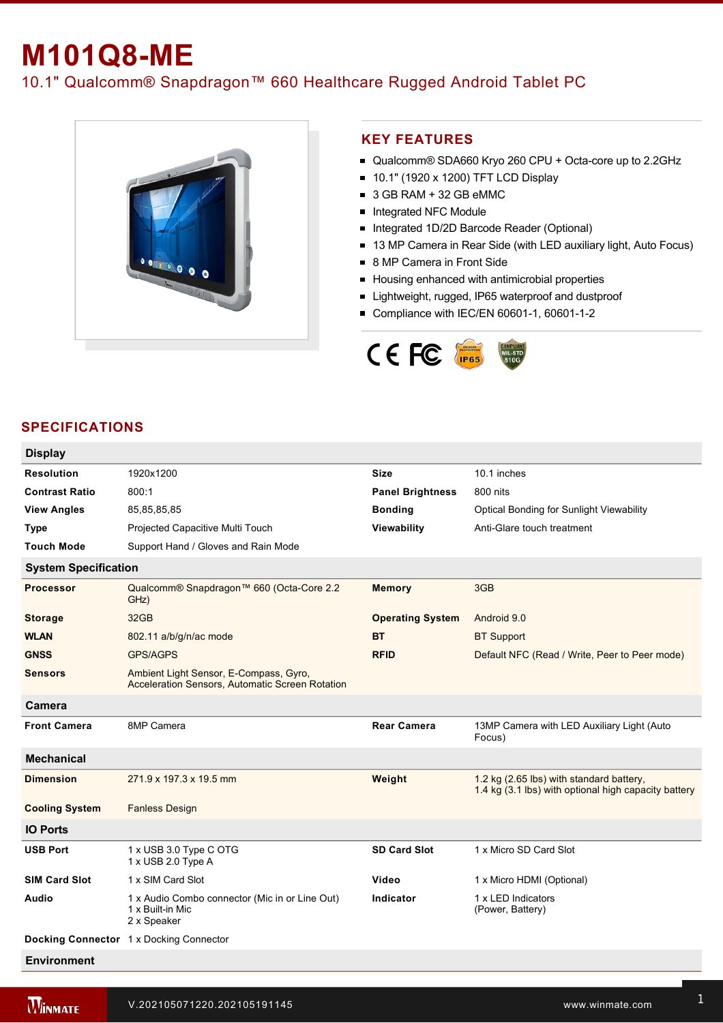# **M101Q8-ME**

## 10.1" Qualcomm® Snapdragon™ 660 Healthcare Rugged Android Tablet PC



#### **KEY FEATURES**

- Qualcomm® SDA660 Kryo 260 CPU + Octa-core up to 2.2GHz
- 10.1" (1920 x 1200) TFT LCD Display
- 3 GB RAM + 32 GB eMMC
- **Integrated NFC Module**
- Integrated 1D/2D Barcode Reader (Optional)
- 13 MP Camera in Rear Side (with LED auxiliary light, Auto Focus)
- 8 MP Camera in Front Side
- Housing enhanced with antimicrobial properties
- **E** Lightweight, rugged, IP65 waterproof and dustproof
- Compliance with IEC/EN 60601-1, 60601-1-2



### **SPECIFICATIONS**

| <b>Display</b>              |                                                                                           |                         |                                                                                                  |  |
|-----------------------------|-------------------------------------------------------------------------------------------|-------------------------|--------------------------------------------------------------------------------------------------|--|
| <b>Resolution</b>           | 1920x1200                                                                                 | <b>Size</b>             | 10.1 inches                                                                                      |  |
| <b>Contrast Ratio</b>       | 800:1                                                                                     | <b>Panel Brightness</b> | 800 nits                                                                                         |  |
| <b>View Angles</b>          | 85,85,85,85                                                                               | <b>Bonding</b>          | Optical Bonding for Sunlight Viewability                                                         |  |
| <b>Type</b>                 | Projected Capacitive Multi Touch                                                          | Viewability             | Anti-Glare touch treatment                                                                       |  |
| <b>Touch Mode</b>           | Support Hand / Gloves and Rain Mode                                                       |                         |                                                                                                  |  |
| <b>System Specification</b> |                                                                                           |                         |                                                                                                  |  |
| <b>Processor</b>            | Qualcomm® Snapdragon™ 660 (Octa-Core 2.2<br>GHz)                                          | <b>Memory</b>           | 3GB                                                                                              |  |
| <b>Storage</b>              | 32GB                                                                                      | <b>Operating System</b> | Android 9.0                                                                                      |  |
| <b>WLAN</b>                 | 802.11 a/b/g/n/ac mode                                                                    | ВT                      | <b>BT Support</b>                                                                                |  |
| <b>GNSS</b>                 | <b>GPS/AGPS</b>                                                                           | <b>RFID</b>             | Default NFC (Read / Write, Peer to Peer mode)                                                    |  |
| <b>Sensors</b>              | Ambient Light Sensor, E-Compass, Gyro,<br>Acceleration Sensors, Automatic Screen Rotation |                         |                                                                                                  |  |
| Camera                      |                                                                                           |                         |                                                                                                  |  |
| <b>Front Camera</b>         | 8MP Camera                                                                                | <b>Rear Camera</b>      | 13MP Camera with LED Auxiliary Light (Auto<br>Focus)                                             |  |
| <b>Mechanical</b>           |                                                                                           |                         |                                                                                                  |  |
| <b>Dimension</b>            | 271.9 x 197.3 x 19.5 mm                                                                   | Weight                  | 1.2 kg (2.65 lbs) with standard battery,<br>1.4 kg (3.1 lbs) with optional high capacity battery |  |
| <b>Cooling System</b>       | <b>Fanless Design</b>                                                                     |                         |                                                                                                  |  |
| <b>IO Ports</b>             |                                                                                           |                         |                                                                                                  |  |
| <b>USB Port</b>             | 1 x USB 3.0 Type C OTG<br>1 x USB 2.0 Type A                                              | <b>SD Card Slot</b>     | 1 x Micro SD Card Slot                                                                           |  |
| <b>SIM Card Slot</b>        | 1 x SIM Card Slot                                                                         | Video                   | 1 x Micro HDMI (Optional)                                                                        |  |
| Audio                       | 1 x Audio Combo connector (Mic in or Line Out)<br>1 x Built-in Mic<br>2 x Speaker         | Indicator               | 1 x LED Indicators<br>(Power, Battery)                                                           |  |
|                             | Docking Connector 1 x Docking Connector                                                   |                         |                                                                                                  |  |
| Environment                 |                                                                                           |                         |                                                                                                  |  |